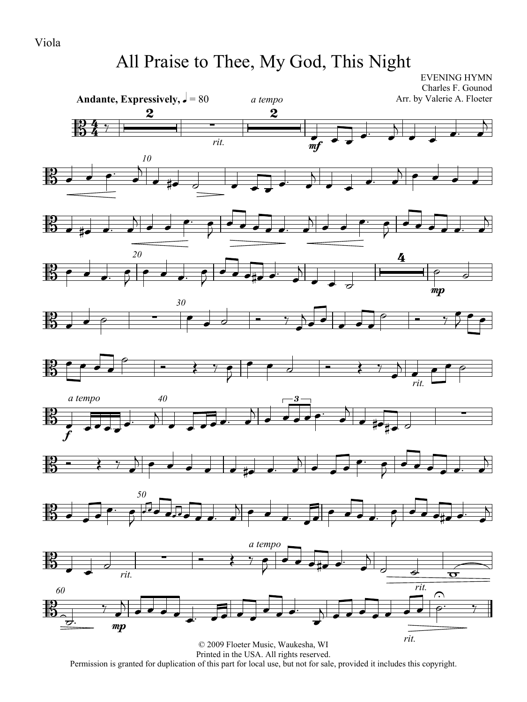# All Praise to Thee, My God, This Night

EVENING HYMN Charles F. Gounod Arr. by Valerie A. Floeter



















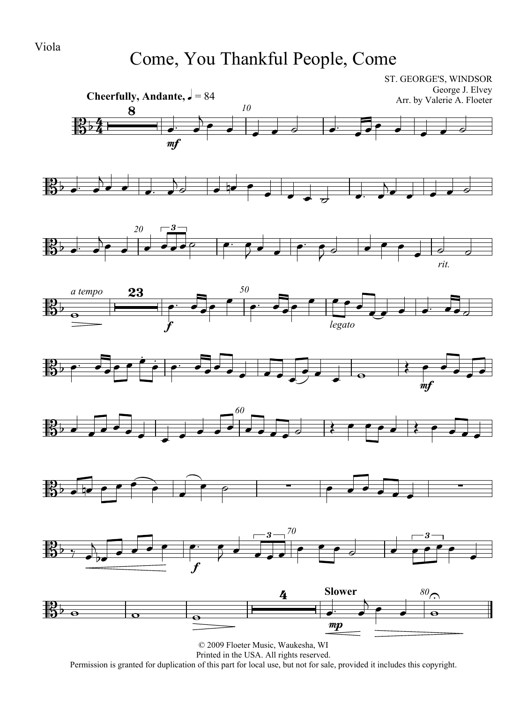### Come, You Thankful People, Come

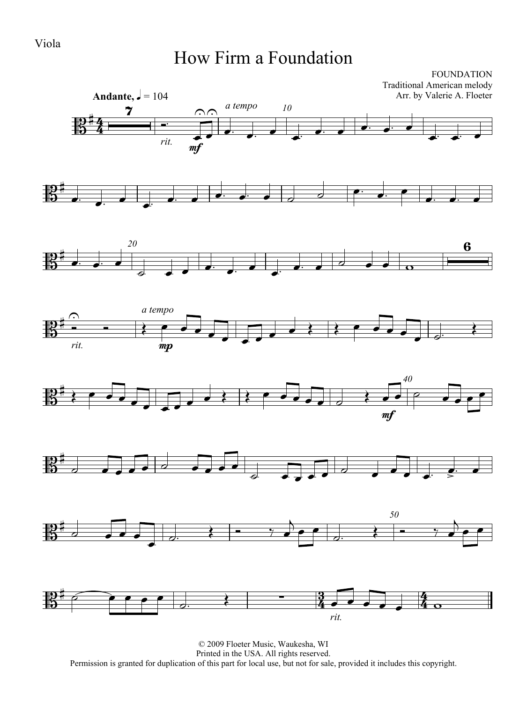#### Viola

#### How Firm a Foundation

FOUNDATION Traditional American melody Arr. by Valerie A. Floeter















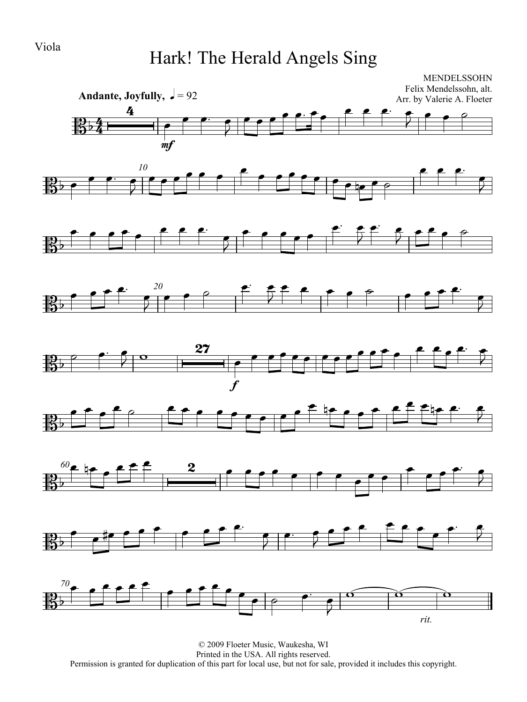## Hark! The Herald Angels Sing

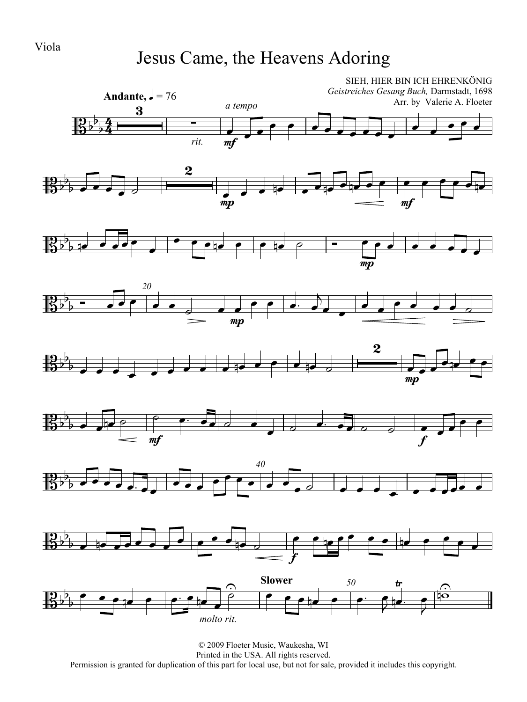## Jesus Came, the Heavens Adoring

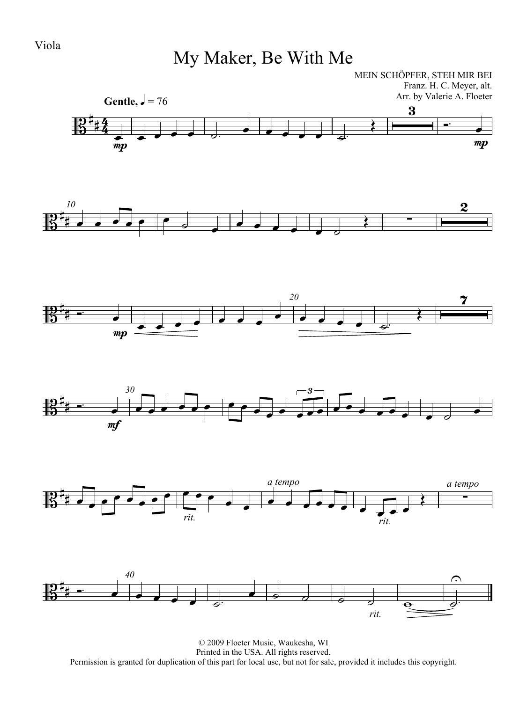Viola

# My Maker, Be With Me

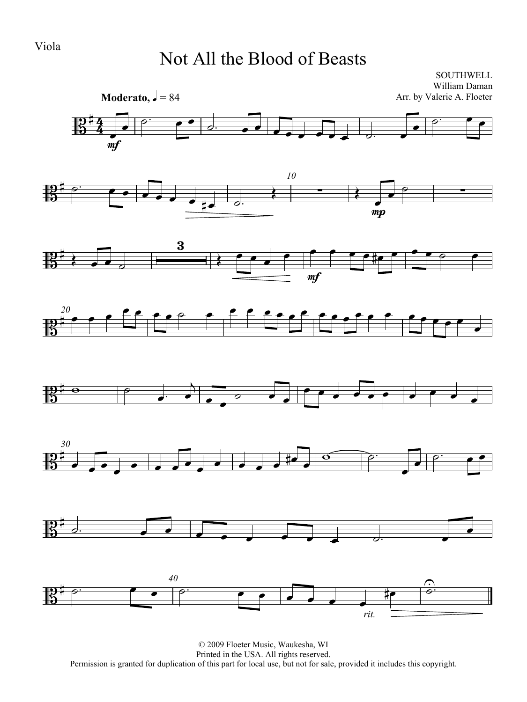Viola

#### Not All the Blood of Beasts

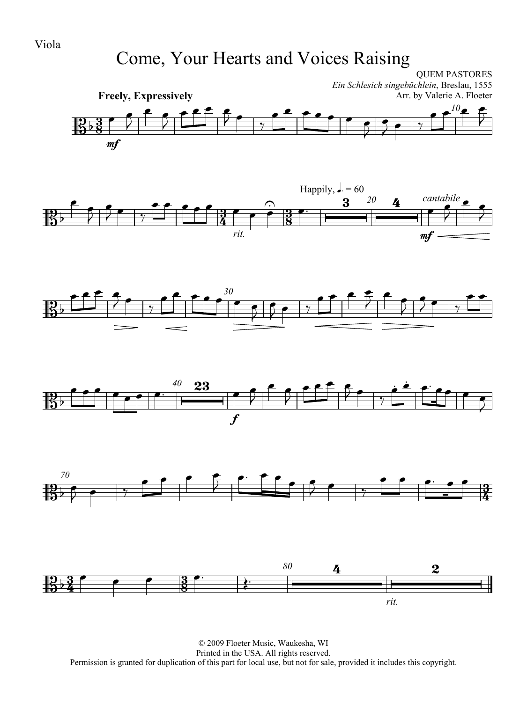## Come, Your Hearts and Voices Raising

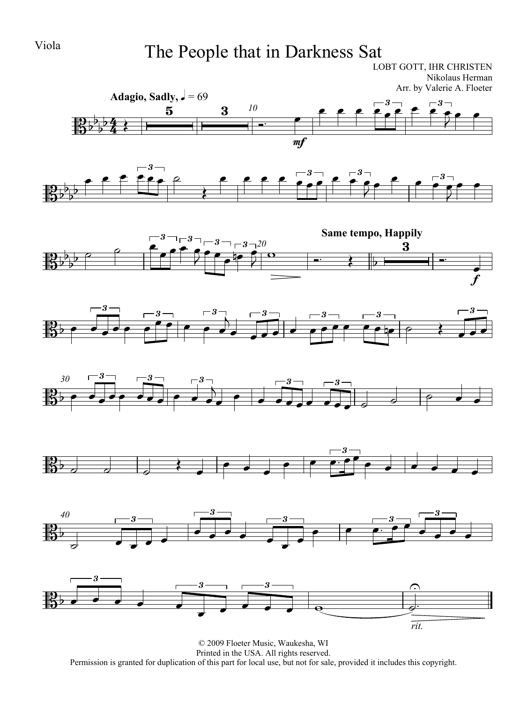# Viola The People that in Darkness Sat

LOBT GOTT, IHR CHRISTEN Nikolaus Herman Arr. by Valerie A. Floeter